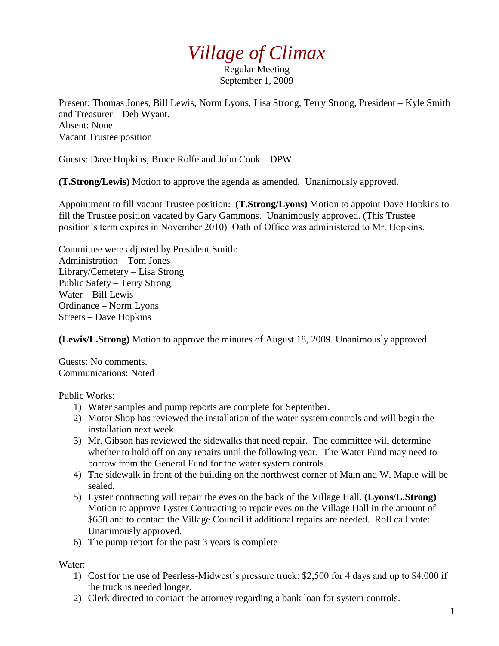## *Village of Climax*

Regular Meeting September 1, 2009

Present: Thomas Jones, Bill Lewis, Norm Lyons, Lisa Strong, Terry Strong, President – Kyle Smith and Treasurer – Deb Wyant. Absent: None Vacant Trustee position

Guests: Dave Hopkins, Bruce Rolfe and John Cook – DPW.

**(T.Strong/Lewis)** Motion to approve the agenda as amended. Unanimously approved.

Appointment to fill vacant Trustee position: **(T.Strong/Lyons)** Motion to appoint Dave Hopkins to fill the Trustee position vacated by Gary Gammons. Unanimously approved. (This Trustee position's term expires in November 2010) Oath of Office was administered to Mr. Hopkins.

Committee were adjusted by President Smith: Administration – Tom Jones Library/Cemetery – Lisa Strong Public Safety – Terry Strong Water – Bill Lewis Ordinance – Norm Lyons Streets – Dave Hopkins

**(Lewis/L.Strong)** Motion to approve the minutes of August 18, 2009. Unanimously approved.

Guests: No comments. Communications: Noted

Public Works:

- 1) Water samples and pump reports are complete for September.
- 2) Motor Shop has reviewed the installation of the water system controls and will begin the installation next week.
- 3) Mr. Gibson has reviewed the sidewalks that need repair. The committee will determine whether to hold off on any repairs until the following year. The Water Fund may need to borrow from the General Fund for the water system controls.
- 4) The sidewalk in front of the building on the northwest corner of Main and W. Maple will be sealed.
- 5) Lyster contracting will repair the eves on the back of the Village Hall. **(Lyons/L.Strong)** Motion to approve Lyster Contracting to repair eves on the Village Hall in the amount of \$650 and to contact the Village Council if additional repairs are needed. Roll call vote: Unanimously approved.
- 6) The pump report for the past 3 years is complete

Water:

- 1) Cost for the use of Peerless-Midwest's pressure truck: \$2,500 for 4 days and up to \$4,000 if the truck is needed longer.
- 2) Clerk directed to contact the attorney regarding a bank loan for system controls.